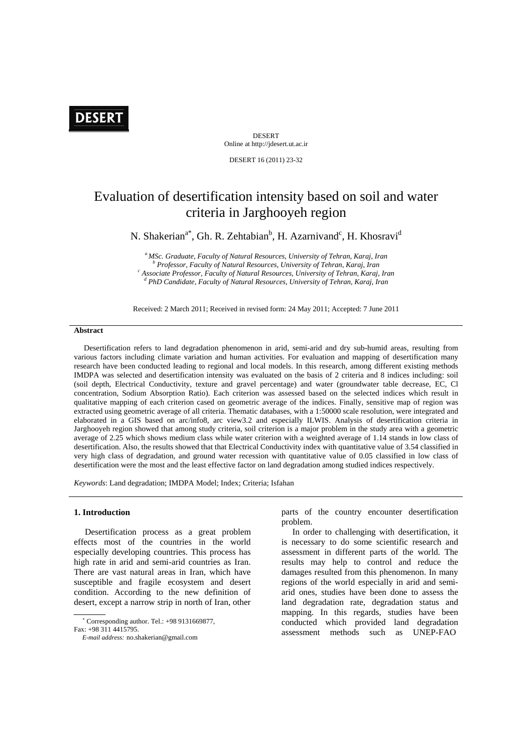# **DESERT**

DESERT Online at http://jdesert.ut.ac.ir

DESERT 16 (2011) 23-32

# Evaluation of desertification intensity based on soil and water criteria in Jarghooyeh region

N. Shakerian<sup>a\*</sup>, Gh. R. Zehtabian<sup>b</sup>, H. Azarnivand<sup>c</sup>, H. Khosravi<sup>d</sup>

*a MSc. Graduate, Faculty of Natural Resources, University of Tehran, Karaj, Iran b*<br> *Professor, Faculty of Natural Resources, University of Tehran, Karaj, Iran* c<sup>c</sup><br>
<sup>c</sup> Associate Professor, Equity of Natural Resources, University of Tehran, Karaj, <sup>c</sup> Associate Professor, Faculty of Natural Resources, University of Tehran, Karaj, Iran <sup>*t*</sup> PhD Candidate, Faculty of Natural Resources, University of Tehran, Karaj, Iran

Received: 2 March 2011; Received in revised form: 24 May 2011; Accepted: 7 June 2011

## **Abstract**

 Desertification refers to land degradation phenomenon in arid, semi-arid and dry sub-humid areas, resulting from various factors including climate variation and human activities. For evaluation and mapping of desertification many research have been conducted leading to regional and local models. In this research, among different existing methods IMDPA was selected and desertification intensity was evaluated on the basis of 2 criteria and 8 indices including: soil (soil depth, Electrical Conductivity, texture and gravel percentage) and water (groundwater table decrease, EC, Cl concentration, Sodium Absorption Ratio). Each criterion was assessed based on the selected indices which result in qualitative mapping of each criterion cased on geometric average of the indices. Finally, sensitive map of region was extracted using geometric average of all criteria. Thematic databases, with a 1:50000 scale resolution, were integrated and elaborated in a GIS based on arc/info8, arc view3.2 and especially ILWIS. Analysis of desertification criteria in Jarghooyeh region showed that among study criteria, soil criterion is a major problem in the study area with a geometric average of 2.25 which shows medium class while water criterion with a weighted average of 1.14 stands in low class of desertification. Also, the results showed that that Electrical Conductivity index with quantitative value of 3.54 classified in very high class of degradation, and ground water recession with quantitative value of 0.05 classified in low class of desertification were the most and the least effective factor on land degradation among studied indices respectively.

*Keywords*: Land degradation; IMDPA Model; Index; Criteria; Isfahan

#### **1. Introduction**

 Desertification process as a great problem effects most of the countries in the world especially developing countries. This process has high rate in arid and semi-arid countries as Iran. There are vast natural areas in Iran, which have susceptible and fragile ecosystem and desert condition. According to the new definition of desert, except a narrow strip in north of Iran, other

Fax: +98 311 4415795.

parts of the country encounter desertification problem.

 In order to challenging with desertification, it is necessary to do some scientific research and assessment in different parts of the world. The results may help to control and reduce the damages resulted from this phenomenon. In many regions of the world especially in arid and semiarid ones, studies have been done to assess the land degradation rate, degradation status and mapping. In this regards, studies have been conducted which provided land degradation assessment methods such as UNEP-FAO

<sup>∗</sup> Corresponding author. Tel.: +98 9131669877,

*E-mail address:* no.shakerian@gmail.com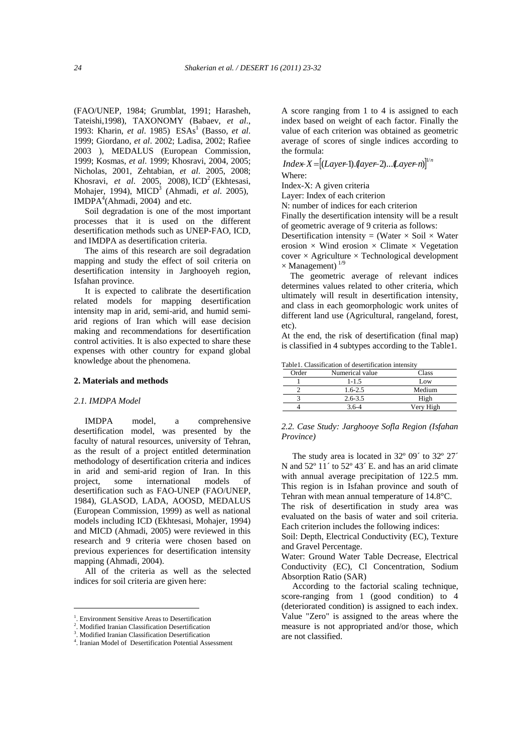(FAO/UNEP, 1984; Grumblat, 1991; Harasheh, Tateishi,1998), TAXONOMY (Babaev, *et al*., 1993: Kharin, et al. 1985) ESAs<sup>1</sup> (Basso, et al. 1999; Giordano, *et al*. 2002; Ladisa, 2002; Rafiee 2003 ), MEDALUS (European Commission, 1999; Kosmas, *et al*. 1999; Khosravi, 2004, 2005; Nicholas, 2001, Zehtabian, *et al*. 2005, 2008; Khosravi, et al. 2005, 2008), ICD<sup>2</sup> (Ekhtesasi, Mohajer, 1994), MICD3 (Ahmadi, *et al*. 2005),  $IMDPA<sup>4</sup>(Ahmadi, 2004)$  and etc.

 Soil degradation is one of the most important processes that it is used on the different desertification methods such as UNEP-FAO, ICD, and IMDPA as desertification criteria.

 The aims of this research are soil degradation mapping and study the effect of soil criteria on desertification intensity in Jarghooyeh region, Isfahan province.

 It is expected to calibrate the desertification related models for mapping desertification intensity map in arid, semi-arid, and humid semiarid regions of Iran which will ease decision making and recommendations for desertification control activities. It is also expected to share these expenses with other country for expand global knowledge about the phenomena.

#### **2. Materials and methods**

#### *2.1. IMDPA Model*

 IMDPA model, a comprehensive desertification model, was presented by the faculty of natural resources, university of Tehran, as the result of a project entitled determination methodology of desertification criteria and indices in arid and semi-arid region of Iran. In this project, some international models of desertification such as FAO-UNEP (FAO/UNEP, 1984), GLASOD, LADA, AOOSD, MEDALUS (European Commission, 1999) as well as national models including ICD (Ekhtesasi, Mohajer, 1994) and MICD (Ahmadi, 2005) were reviewed in this research and 9 criteria were chosen based on previous experiences for desertification intensity mapping (Ahmadi, 2004).

 All of the criteria as well as the selected indices for soil criteria are given here:

A score ranging from 1 to 4 is assigned to each index based on weight of each factor. Finally the value of each criterion was obtained as geometric average of scores of single indices according to the formula:

## $Index-X=[(Layer 1).(layer -2)...(layer -n)]^{1/n}$ Where:

Index-X: A given criteria

Layer: Index of each criterion

N: number of indices for each criterion

Finally the desertification intensity will be a result of geometric average of 9 criteria as follows:

Desertification intensity = (Water  $\times$  Soil  $\times$  Water erosion  $\times$  Wind erosion  $\times$  Climate  $\times$  Vegetation  $cover \times Agriculture \times Technologies$ development  $\times$  Management)<sup>1/9</sup>

 The geometric average of relevant indices determines values related to other criteria, which ultimately will result in desertification intensity, and class in each geomorphologic work unites of different land use (Agricultural, rangeland, forest, etc).

At the end, the risk of desertification (final map) is classified in 4 subtypes according to the Table1.

Table1. Classification of desertification intensity

| Order | Numerical value | Class     |
|-------|-----------------|-----------|
|       | $1 - 1.5$       | Low       |
|       | $1.6 - 2.5$     | Medium    |
|       | $2.6 - 3.5$     | High      |
|       | $36-4$          | Very High |

*2.2. Case Study: Jarghooye Sofla Region (Isfahan Province)* 

The study area is located in 32° 09′ to 32° 27′ N and  $52^{\circ}$  11' to  $52^{\circ}$  43' E. and has an arid climate with annual average precipitation of 122.5 mm. This region is in Isfahan province and south of Tehran with mean annual temperature of 14.8°C.

The risk of desertification in study area was evaluated on the basis of water and soil criteria. Each criterion includes the following indices:

Soil: Depth, Electrical Conductivity (EC), Texture and Gravel Percentage.

Water: Ground Water Table Decrease, Electrical Conductivity (EC), Cl Concentration, Sodium Absorption Ratio (SAR)

 According to the factorial scaling technique, score-ranging from 1 (good condition) to 4 (deteriorated condition) is assigned to each index. Value "Zero" is assigned to the areas where the measure is not appropriated and/or those, which are not classified.

 <sup>1</sup>. Environment Sensitive Areas to Desertification

<sup>2</sup> . Modified Iranian Classification Desertification

<sup>3</sup> . Modified Iranian Classification Desertification

<sup>4</sup> . Iranian Model of Desertification Potential Assessment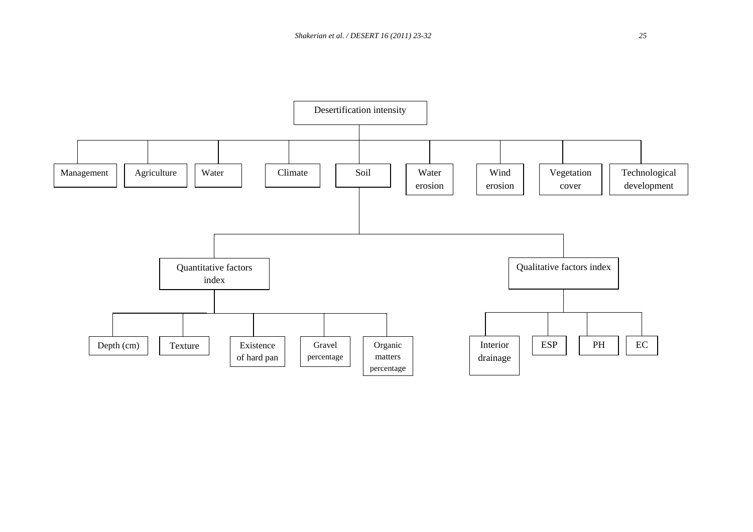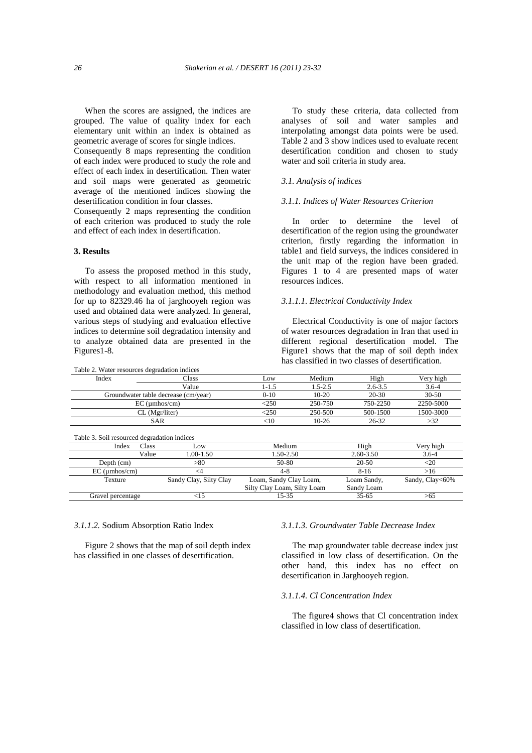When the scores are assigned, the indices are grouped. The value of quality index for each elementary unit within an index is obtained as geometric average of scores for single indices.

Consequently 8 maps representing the condition of each index were produced to study the role and effect of each index in desertification. Then water and soil maps were generated as geometric average of the mentioned indices showing the desertification condition in four classes.

Consequently 2 maps representing the condition of each criterion was produced to study the role and effect of each index in desertification.

## **3. Results**

 To assess the proposed method in this study, with respect to all information mentioned in methodology and evaluation method, this method for up to 82329.46 ha of jarghooyeh region was used and obtained data were analyzed. In general, various steps of studying and evaluation effective indices to determine soil degradation intensity and to analyze obtained data are presented in the Figures1-8.

 To study these criteria, data collected from analyses of soil and water samples and interpolating amongst data points were be used. Table 2 and 3 show indices used to evaluate recent desertification condition and chosen to study water and soil criteria in study area.

#### *3.1. Analysis of indices*

### *3.1.1. Indices of Water Resources Criterion*

 In order to determine the level of desertification of the region using the groundwater criterion, firstly regarding the information in table1 and field surveys, the indices considered in the unit map of the region have been graded. Figures 1 to 4 are presented maps of water resources indices.

### *3.1.1.1. Electrical Conductivity Index*

 Electrical Conductivity is one of major factors of water resources degradation in Iran that used in different regional desertification model. The Figure1 shows that the map of soil depth index has classified in two classes of desertification.

| Table 2. Water resources degradation indices |                        |                                                       |             |                           |                 |
|----------------------------------------------|------------------------|-------------------------------------------------------|-------------|---------------------------|-----------------|
| Index                                        | Class                  | Low                                                   | Medium      | High                      | Very high       |
|                                              | Value                  | $1 - 1.5$                                             | $1.5 - 2.5$ | $2.6 - 3.5$               | $3.6 - 4$       |
| Groundwater table decrease (cm/year)         |                        | $0 - 10$                                              | $10-20$     | 20-30                     | $30 - 50$       |
|                                              | $EC$ (umhos/cm)        | $\leq$ 250                                            | 250-750     | 750-2250                  | 2250-5000       |
|                                              | $CL$ (Mgr/liter)       | < 250                                                 | 250-500     | 500-1500                  | 1500-3000       |
|                                              | <b>SAR</b>             | $<$ 10                                                | $10-26$     | $26 - 32$                 | >32             |
| Table 3. Soil resourced degradation indices  |                        |                                                       |             |                           |                 |
| Class<br>Index                               | Low                    | Medium                                                |             | High                      | Very high       |
| Value                                        | 1.00-1.50              | 1.50-2.50                                             |             | 2.60-3.50                 | $3.6 - 4$       |
| Depth (cm)                                   | > 80                   | 50-80                                                 |             | 20-50                     | $<$ 20          |
| $EC$ (umhos/cm)                              | $\leq$ 4               | 4-8                                                   |             | $8 - 16$                  | >16             |
| Texture                                      | Sandy Clay, Silty Clay | Loam, Sandy Clay Loam,<br>Silty Clay Loam, Silty Loam |             | Loam Sandy,<br>Sandy Loam | Sandy, Clay<60% |
| Gravel percentage                            | <15                    | $15 - 35$                                             |             | $35 - 65$                 | >65             |

#### *3.1.1.2.* Sodium Absorption Ratio Index

 Figure 2 shows that the map of soil depth index has classified in one classes of desertification.

## *3.1.1.3. Groundwater Table Decrease Index*

 The map groundwater table decrease index just classified in low class of desertification. On the other hand, this index has no effect on desertification in Jarghooyeh region.

## *3.1.1.4. Cl Concentration Index*

 The figure4 shows that Cl concentration index classified in low class of desertification.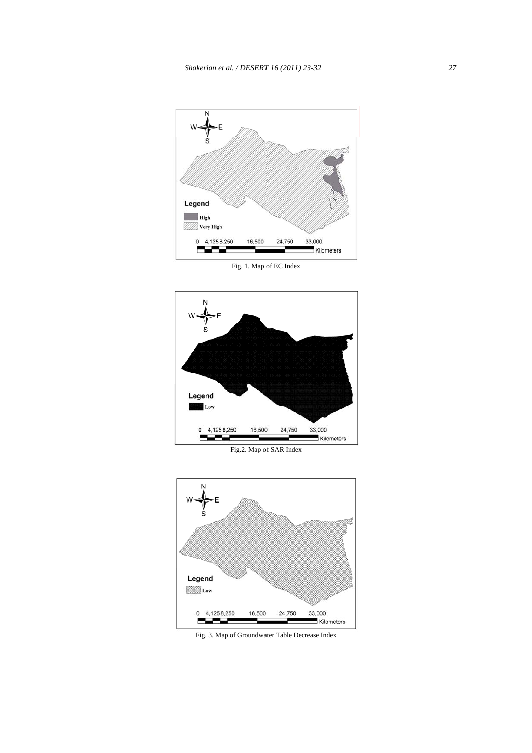

Fig. 1. Map of EC Index



Fig.2. Map of SAR Index



Fig. 3. Map of Groundwater Table Decrease Index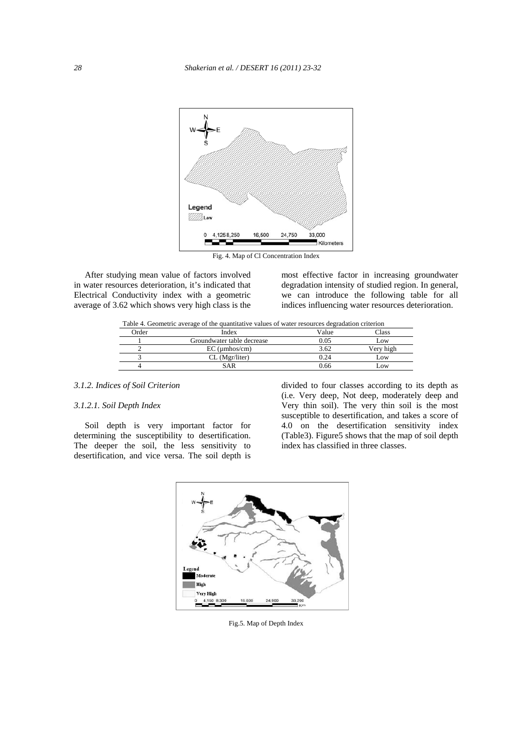

Fig. 4. Map of Cl Concentration Index

 After studying mean value of factors involved in water resources deterioration, it's indicated that Electrical Conductivity index with a geometric average of 3.62 which shows very high class is the most effective factor in increasing groundwater degradation intensity of studied region. In general, we can introduce the following table for all indices influencing water resources deterioration.

Table 4. Geometric average of the quantitative values of water resources degradation criterion

| <b>Drder</b> | Index                      | Value | "lass     |
|--------------|----------------------------|-------|-----------|
|              | Groundwater table decrease | 0.05  | LOW       |
|              | $EC$ ( $\mu$ mhos/cm)      | 3.62  | Verv high |
|              | $CL$ (Mgr/liter)           | 24    | Low       |
|              | SAR                        | 0.66  | LOW       |

## *3.1.2. Indices of Soil Criterion*

## *3.1.2.1. Soil Depth Index*

 Soil depth is very important factor for determining the susceptibility to desertification. The deeper the soil, the less sensitivity to desertification, and vice versa. The soil depth is

divided to four classes according to its depth as (i.e. Very deep, Not deep, moderately deep and Very thin soil). The very thin soil is the most susceptible to desertification, and takes a score of 4.0 on the desertification sensitivity index (Table3). Figure5 shows that the map of soil depth index has classified in three classes.



Fig.5. Map of Depth Index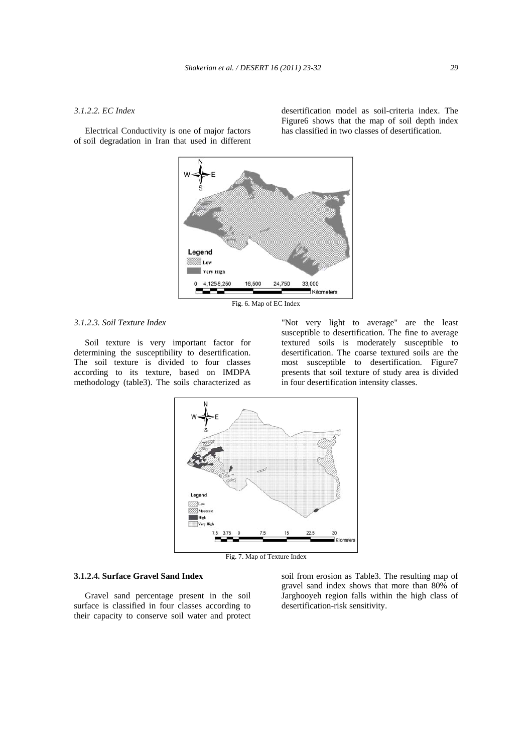#### *3.1.2.2. EC Index*

 Electrical Conductivity is one of major factors of soil degradation in Iran that used in different desertification model as soil-criteria index. The Figure6 shows that the map of soil depth index has classified in two classes of desertification.



Fig. 6. Map of EC Index

## *3.1.2.3. Soil Texture Index*

 Soil texture is very important factor for determining the susceptibility to desertification. The soil texture is divided to four classes according to its texture, based on IMDPA methodology (table3). The soils characterized as

"Not very light to average" are the least susceptible to desertification. The fine to average textured soils is moderately susceptible to desertification. The coarse textured soils are the most susceptible to desertification. Figure7 presents that soil texture of study area is divided in four desertification intensity classes.



Fig. 7. Map of Texture Index

#### **3.1.2.4. Surface Gravel Sand Index**

 Gravel sand percentage present in the soil surface is classified in four classes according to their capacity to conserve soil water and protect soil from erosion as Table3. The resulting map of gravel sand index shows that more than 80% of Jarghooyeh region falls within the high class of desertification-risk sensitivity.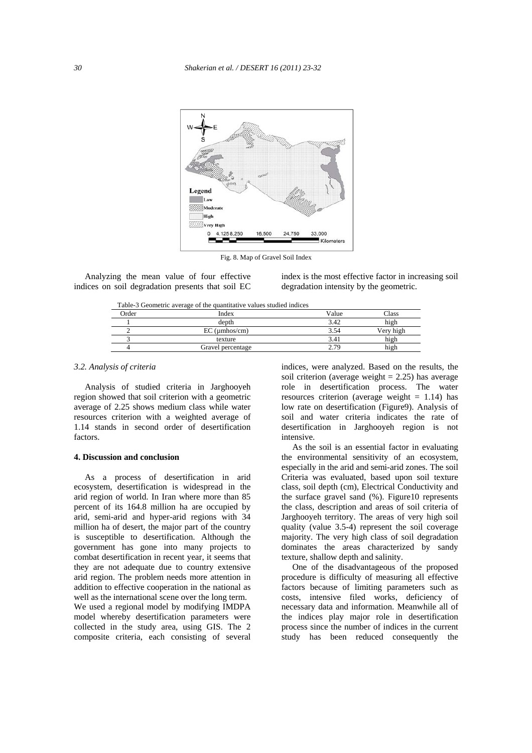

Fig. 8. Map of Gravel Soil Index

 Analyzing the mean value of four effective indices on soil degradation presents that soil EC index is the most effective factor in increasing soil degradation intensity by the geometric.

Table-3 Geometric average of the quantitative values studied indices

| Tuble & Ocomethe average of the quantitative values station maless |                   |       |           |  |  |
|--------------------------------------------------------------------|-------------------|-------|-----------|--|--|
| <b>Order</b>                                                       | Index             | Value | lass      |  |  |
|                                                                    | depth             | 3.42  | high      |  |  |
|                                                                    | $EC$ (umhos/cm)   | 3.54  | Very high |  |  |
|                                                                    | texture           | 3.41  | high      |  |  |
|                                                                    | Gravel percentage | 2.79  | nigh      |  |  |
|                                                                    |                   |       |           |  |  |

## *3.2. Analysis of criteria*

 Analysis of studied criteria in Jarghooyeh region showed that soil criterion with a geometric average of 2.25 shows medium class while water resources criterion with a weighted average of 1.14 stands in second order of desertification factors.

#### **4. Discussion and conclusion**

 As a process of desertification in arid ecosystem, desertification is widespread in the arid region of world. In Iran where more than 85 percent of its 164.8 million ha are occupied by arid, semi-arid and hyper-arid regions with 34 million ha of desert, the major part of the country is susceptible to desertification. Although the government has gone into many projects to combat desertification in recent year, it seems that they are not adequate due to country extensive arid region. The problem needs more attention in addition to effective cooperation in the national as well as the international scene over the long term.

We used a regional model by modifying IMDPA model whereby desertification parameters were collected in the study area, using GIS. The 2 composite criteria, each consisting of several indices, were analyzed. Based on the results, the soil criterion (average weight  $= 2.25$ ) has average role in desertification process. The water resources criterion (average weight  $= 1.14$ ) has low rate on desertification (Figure9). Analysis of soil and water criteria indicates the rate of desertification in Jarghooyeh region is not intensive.

 As the soil is an essential factor in evaluating the environmental sensitivity of an ecosystem, especially in the arid and semi-arid zones. The soil Criteria was evaluated, based upon soil texture class, soil depth (cm), Electrical Conductivity and the surface gravel sand (%). Figure10 represents the class, description and areas of soil criteria of Jarghooyeh territory. The areas of very high soil quality (value 3.5-4) represent the soil coverage majority. The very high class of soil degradation dominates the areas characterized by sandy texture, shallow depth and salinity.

 One of the disadvantageous of the proposed procedure is difficulty of measuring all effective factors because of limiting parameters such as costs, intensive filed works, deficiency of necessary data and information. Meanwhile all of the indices play major role in desertification process since the number of indices in the current study has been reduced consequently the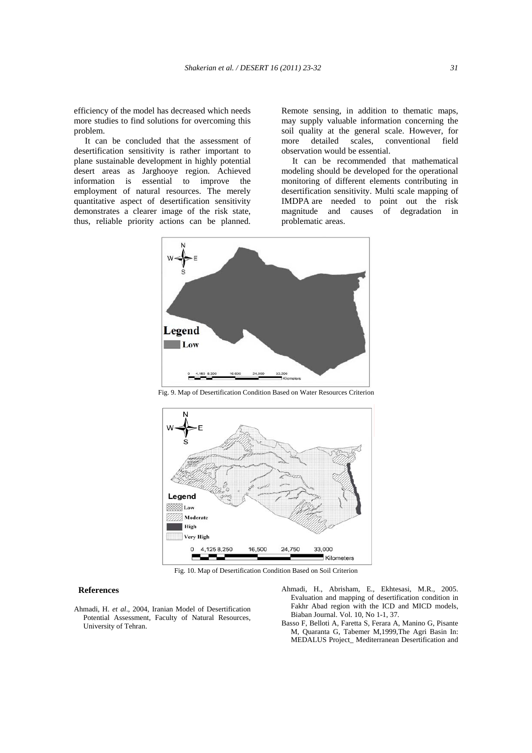efficiency of the model has decreased which needs more studies to find solutions for overcoming this problem.

 It can be concluded that the assessment of desertification sensitivity is rather important to plane sustainable development in highly potential desert areas as Jarghooye region. Achieved information is essential to improve the employment of natural resources. The merely quantitative aspect of desertification sensitivity demonstrates a clearer image of the risk state, thus, reliable priority actions can be planned.

Remote sensing, in addition to thematic maps, may supply valuable information concerning the soil quality at the general scale. However, for more detailed scales, conventional field observation would be essential.

 It can be recommended that mathematical modeling should be developed for the operational monitoring of different elements contributing in desertification sensitivity. Multi scale mapping of IMDPA are needed to point out the risk magnitude and causes of degradation in problematic areas.



Fig. 9. Map of Desertification Condition Based on Water Resources Criterion



Fig. 10. Map of Desertification Condition Based on Soil Criterion

#### **References**

- Ahmadi, H. *et al*., 2004, Iranian Model of Desertification Potential Assessment, Faculty of Natural Resources, University of Tehran.
- Ahmadi, H., Abrisham, E., Ekhtesasi, M.R., 2005. Evaluation and mapping of desertification condition in Fakhr Abad region with the ICD and MICD models, Biaban Journal. Vol. 10, No 1-1, 37.
- Basso F, Belloti A, Faretta S, Ferara A, Manino G, Pisante M, Quaranta G, Tabemer M,1999,The Agri Basin In: MEDALUS Project\_ Mediterranean Desertification and